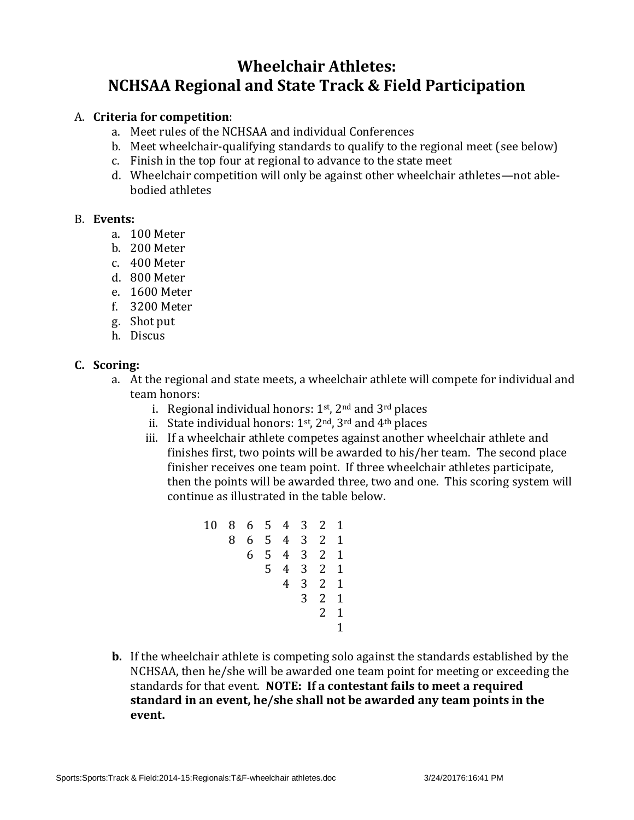# **Wheelchair Athletes: NCHSAA Regional and State Track & Field Participation**

#### A. **Criteria for competition**:

- a. Meet rules of the NCHSAA and individual Conferences
- b. Meet wheelchair-qualifying standards to qualify to the regional meet (see below)
- c. Finish in the top four at regional to advance to the state meet
- d. Wheelchair competition will only be against other wheelchair athletes—not ablebodied athletes

#### B. **Events:**

- a. 100 Meter
- b. 200 Meter
- c. 400 Meter
- d. 800 Meter
- e. 1600 Meter
- f. 3200 Meter
- g. Shot put
- h. Discus

#### **C. Scoring:**

- a. At the regional and state meets, a wheelchair athlete will compete for individual and team honors:
	- i. Regional individual honors:  $1<sup>st</sup>$ ,  $2<sup>nd</sup>$  and  $3<sup>rd</sup>$  places
	- ii. State individual honors:  $1<sup>st</sup>$ ,  $2<sup>nd</sup>$ ,  $3<sup>rd</sup>$  and  $4<sup>th</sup>$  places
	- iii. If a wheelchair athlete competes against another wheelchair athlete and finishes first, two points will be awarded to his/her team. The second place finisher receives one team point. If three wheelchair athletes participate, then the points will be awarded three, two and one. This scoring system will continue as illustrated in the table below.

10 8 6 5 4 3 2 1 8 6 5 4 3 2 1 6 5 4 3 2 1 5 4 3 2 1 4 3 2 1 3 2 1 2 1 1

**b.** If the wheelchair athlete is competing solo against the standards established by the NCHSAA, then he/she will be awarded one team point for meeting or exceeding the standards for that event. **NOTE: If a contestant fails to meet a required standard in an event, he/she shall not be awarded any team points in the event.**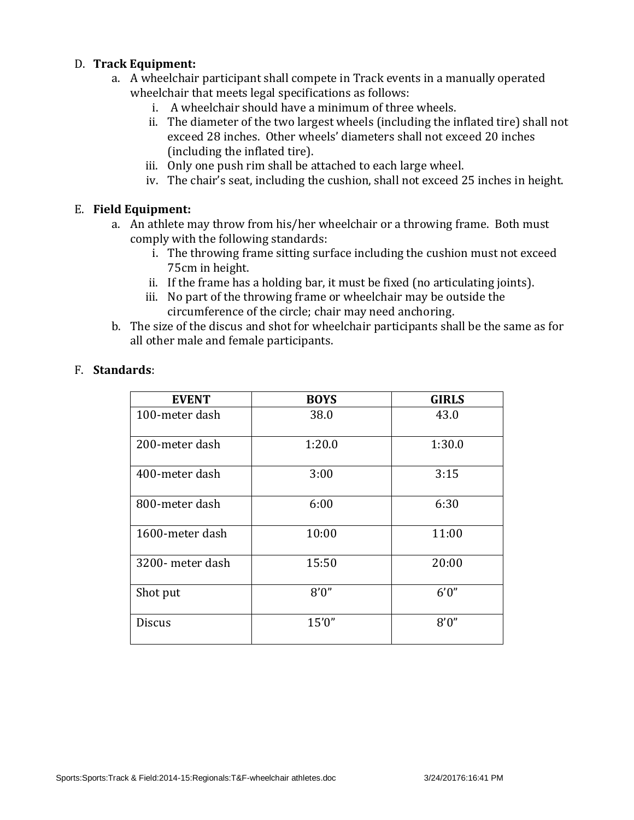#### D. **Track Equipment:**

- a. A wheelchair participant shall compete in Track events in a manually operated wheelchair that meets legal specifications as follows:
	- i. A wheelchair should have a minimum of three wheels.
	- ii. The diameter of the two largest wheels (including the inflated tire) shall not exceed 28 inches. Other wheels' diameters shall not exceed 20 inches (including the inflated tire).
	- iii. Only one push rim shall be attached to each large wheel.
	- iv. The chair's seat, including the cushion, shall not exceed 25 inches in height.

#### E. **Field Equipment:**

- a. An athlete may throw from his/her wheelchair or a throwing frame. Both must comply with the following standards:
	- i. The throwing frame sitting surface including the cushion must not exceed 75cm in height.
	- ii. If the frame has a holding bar, it must be fixed (no articulating joints).
	- iii. No part of the throwing frame or wheelchair may be outside the circumference of the circle; chair may need anchoring.
- b. The size of the discus and shot for wheelchair participants shall be the same as for all other male and female participants.

| <b>EVENT</b>     | <b>BOYS</b> | <b>GIRLS</b> |
|------------------|-------------|--------------|
| 100-meter dash   | 38.0        | 43.0         |
| 200-meter dash   | 1:20.0      | 1:30.0       |
| 400-meter dash   | 3:00        | 3:15         |
| 800-meter dash   | 6:00        | 6:30         |
| 1600-meter dash  | 10:00       | 11:00        |
| 3200- meter dash | 15:50       | 20:00        |
| Shot put         | 8'0''       | 6'0''        |
| <b>Discus</b>    | 15'0''      | 8'0''        |

#### F. **Standards**: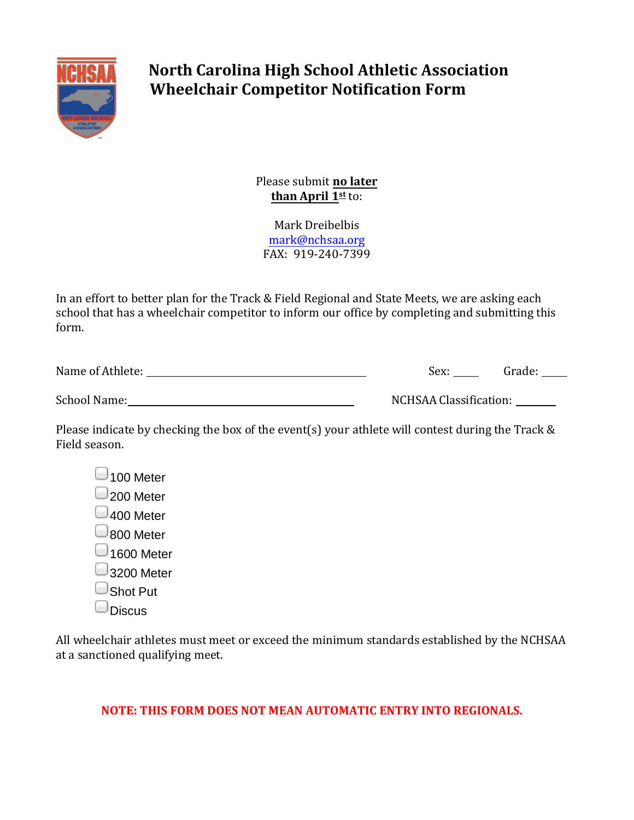

# **North Carolina High School Athletic Association Wheelchair Competitor Notification Form**

Please submit **no later than April 1st** to:

Mark Dreibelbis mark@nchsaa.org FAX: 919-240-7399

In an effort to better plan for the Track & Field Regional and State Meets, we are asking each school that has a wheelchair competitor to inform our office by completing and submitting this form.

| Name of Athlete: | Sex: | Grade: |
|------------------|------|--------|
|                  |      |        |
|                  |      |        |

| School Name: | NCHSAA Classification: |
|--------------|------------------------|
|              |                        |

Please indicate by checking the box of the event(s) your athlete will contest during the Track & Field season.

 $\Box$ 100 Meter □200 Meter  $\Box$ 400 Meter 800 Meter  $\Box$ 1600 Meter  $\Box$ 3200 Meter □Shot Put  $\Box$ Discus

All wheelchair athletes must meet or exceed the minimum standards established by the NCHSAA at a sanctioned qualifying meet.

### **NOTE: THIS FORM DOES NOT MEAN AUTOMATIC ENTRY INTO REGIONALS.**